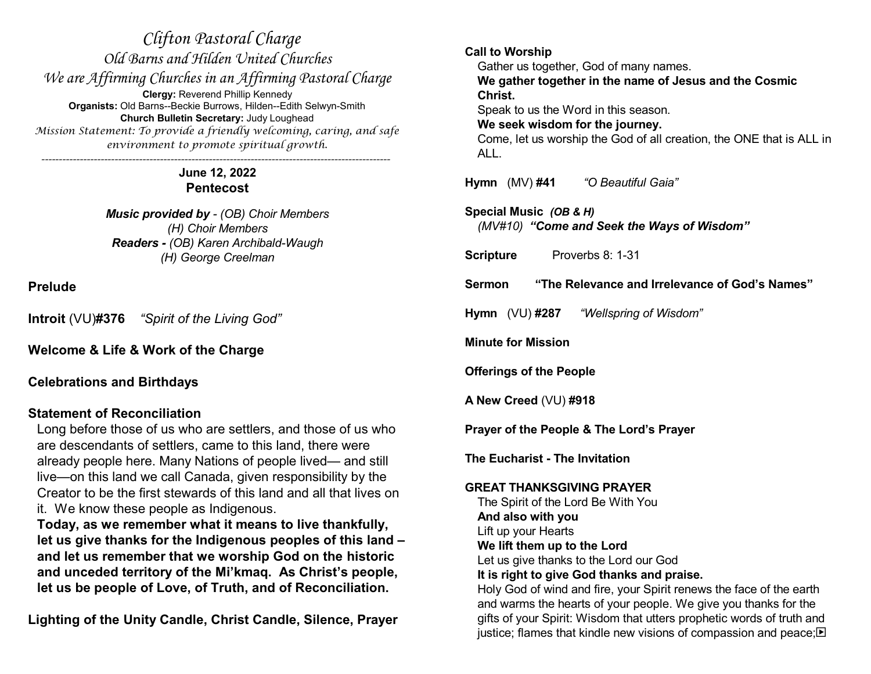*Clifton Pastoral Charge Old Barns and Hilden United Churches We are Affirming Churches in an Affirming Pastoral Charge* **Clergy:** Reverend Phillip Kennedy **Organists:** Old Barns--Beckie Burrows, Hilden--Edith Selwyn-Smith **Church Bulletin Secretary:** Judy Loughead *Mission Statement: To provide a friendly welcoming, caring, and safe environment to promote spiritual growth. ----------------------------------------------------------------------------------------------------*

> **June 12, 2022 Pentecost**

*Music provided by - (OB) Choir Members (H) Choir Members Readers - (OB) Karen Archibald-Waugh (H) George Creelman*

**Prelude**

**Introit** (VU)**#376** *"Spirit of the Living God"*

**Welcome & Life & Work of the Charge**

# **Celebrations and Birthdays**

# **Statement of Reconciliation**

Long before those of us who are settlers, and those of us who are descendants of settlers, came to this land, there were already people here. Many Nations of people lived— and still live—on this land we call Canada, given responsibility by the Creator to be the first stewards of this land and all that lives on it. We know these people as Indigenous.

**Today, as we remember what it means to live thankfully, let us give thanks for the Indigenous peoples of this land – and let us remember that we worship God on the historic and unceded territory of the Mi'kmaq. As Christ's people, let us be people of Love, of Truth, and of Reconciliation.** 

**Lighting of the Unity Candle, Christ Candle, Silence, Prayer**

**Call to Worship** Gather us together, God of many names. **We gather together in the name of Jesus and the Cosmic Christ.** Speak to us the Word in this season. **We seek wisdom for the journey.** Come, let us worship the God of all creation, the ONE that is ALL in ALL. **Hymn** (MV) **#41** *"O Beautiful Gaia"* **Special Music** *(OB & H) (MV#10) "Come and Seek the Ways of Wisdom"* **Scripture** Proverbs 8: 1-31 **Sermon "The Relevance and Irrelevance of God's Names" Hymn** (VU) **#287** *"Wellspring of Wisdom"* **Minute for Mission Offerings of the People A New Creed** (VU) **#918 Prayer of the People & The Lord's Prayer The Eucharist - The Invitation GREAT THANKSGIVING PRAYER** The Spirit of the Lord Be With You **And also with you** Lift up your Hearts **We lift them up to the Lord** Let us give thanks to the Lord our God **It is right to give God thanks and praise.** Holy God of wind and fire, your Spirit renews the face of the earth and warms the hearts of your people. We give you thanks for the gifts of your Spirit: Wisdom that utters prophetic words of truth and justice; flames that kindle new visions of compassion and peace; $\blacksquare$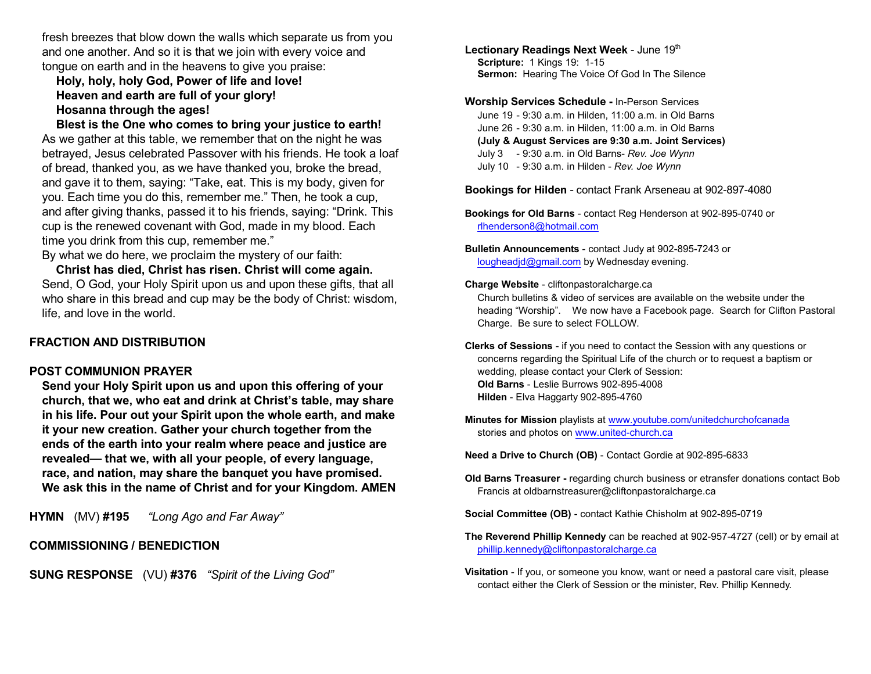fresh breezes that blow down the walls which separate us from you and one another. And so it is that we join with every voice and tongue on earth and in the heavens to give you praise:

**Holy, holy, holy God, Power of life and love! Heaven and earth are full of your glory! Hosanna through the ages!**

**Blest is the One who comes to bring your justice to earth!** As we gather at this table, we remember that on the night he was betrayed, Jesus celebrated Passover with his friends. He took a loaf of bread, thanked you, as we have thanked you, broke the bread, and gave it to them, saying: "Take, eat. This is my body, given for you. Each time you do this, remember me." Then, he took a cup, and after giving thanks, passed it to his friends, saying: "Drink. This cup is the renewed covenant with God, made in my blood. Each time you drink from this cup, remember me."

By what we do here, we proclaim the mystery of our faith:

**Christ has died, Christ has risen. Christ will come again.** Send, O God, your Holy Spirit upon us and upon these gifts, that all who share in this bread and cup may be the body of Christ: wisdom, life, and love in the world.

## **FRACTION AND DISTRIBUTION**

#### **POST COMMUNION PRAYER**

**Send your Holy Spirit upon us and upon this offering of your church, that we, who eat and drink at Christ's table, may share in his life. Pour out your Spirit upon the whole earth, and make it your new creation. Gather your church together from the ends of the earth into your realm where peace and justice are revealed— that we, with all your people, of every language, race, and nation, may share the banquet you have promised. We ask this in the name of Christ and for your Kingdom. AMEN**

**HYMN** (MV) **#195** *"Long Ago and Far Away"*

## **COMMISSIONING / BENEDICTION**

**SUNG RESPONSE** (VU) **#376** *"Spirit of the Living God"*

Lectionary Readings Next Week - June 19<sup>th</sup> **Scripture:** 1 Kings 19: 1-15 **Sermon:** Hearing The Voice Of God In The Silence

**Worship Services Schedule -** In-Person Services June 19 - 9:30 a.m. in Hilden, 11:00 a.m. in Old Barns June 26 - 9:30 a.m. in Hilden, 11:00 a.m. in Old Barns **(July & August Services are 9:30 a.m. Joint Services)** July 3 - 9:30 a.m. in Old Barns- *Rev. Joe Wynn* July 10 - 9:30 a.m. in Hilden - *Rev. Joe Wynn*

**Bookings for Hilden** - contact Frank Arseneau at 902-897-4080

**Bookings for Old Barns** - contact Reg Henderson at 902-895-0740 or [rlhenderson8@hotmail.com](mailto:rlhenderson8@hotmail.com)

**Bulletin Announcements** - contact Judy at 902-895-7243 or [lougheadjd@gmail.com](mailto:lougheadjd@gmail.com) by Wednesday evening.

#### **Charge Website** - cliftonpastoralcharge.ca

Church bulletins & video of services are available on the website under the heading "Worship". We now have a Facebook page. Search for Clifton Pastoral Charge. Be sure to select FOLLOW.

**Clerks of Sessions** - if you need to contact the Session with any questions or concerns regarding the Spiritual Life of the church or to request a baptism or wedding, please contact your Clerk of Session: **Old Barns** - Leslie Burrows 902-895-4008 **Hilden** - Elva Haggarty 902-895-4760

**Minutes for Mission** playlists at [www.youtube.com/unitedchurchofcanada](http://www.youtube.com/unitedchurchofcanada) stories and photos on [www.united-church.ca](http://www.united-church.ca)

**Need a Drive to Church (OB)** - Contact Gordie at 902-895-6833

- **Old Barns Treasurer** regarding church business or etransfer donations contact Bob Francis at oldbarnstreasurer@cliftonpastoralcharge.ca
- **Social Committee (OB)** contact Kathie Chisholm at 902-895-0719
- **The Reverend Phillip Kennedy** can be reached at 902-957-4727 (cell) or by email at [phillip.kennedy@cliftonpastoralcharge.ca](mailto:phillip.kennedy@cliftonpastoralcharge.ca)
- **Visitation** If you, or someone you know, want or need a pastoral care visit, please contact either the Clerk of Session or the minister, Rev. Phillip Kennedy.